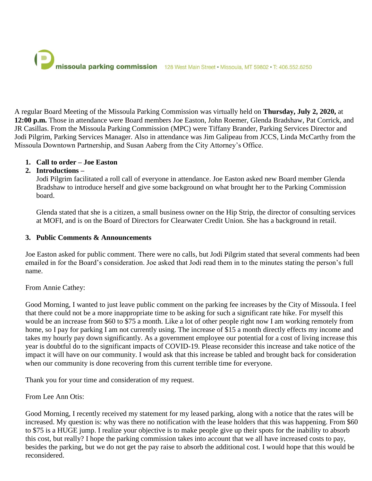# missoula parking commission 128 West Main Street · Missoula, MT 59802 · T: 406.552.6250

A regular Board Meeting of the Missoula Parking Commission was virtually held on **Thursday, July 2, 2020,** at **12:00 p.m.** Those in attendance were Board members Joe Easton, John Roemer, Glenda Bradshaw, Pat Corrick, and JR Casillas. From the Missoula Parking Commission (MPC) were Tiffany Brander, Parking Services Director and Jodi Pilgrim, Parking Services Manager. Also in attendance was Jim Galipeau from JCCS, Linda McCarthy from the Missoula Downtown Partnership, and Susan Aaberg from the City Attorney's Office.

#### **1. Call to order – Joe Easton**

#### **2. Introductions –**

Jodi Pilgrim facilitated a roll call of everyone in attendance. Joe Easton asked new Board member Glenda Bradshaw to introduce herself and give some background on what brought her to the Parking Commission board.

Glenda stated that she is a citizen, a small business owner on the Hip Strip, the director of consulting services at MOFI, and is on the Board of Directors for Clearwater Credit Union. She has a background in retail.

#### **3. Public Comments & Announcements**

Joe Easton asked for public comment. There were no calls, but Jodi Pilgrim stated that several comments had been emailed in for the Board's consideration. Joe asked that Jodi read them in to the minutes stating the person's full name.

From Annie Cathey:

Good Morning, I wanted to just leave public comment on the parking fee increases by the City of Missoula. I feel that there could not be a more inappropriate time to be asking for such a significant rate hike. For myself this would be an increase from \$60 to \$75 a month. Like a lot of other people right now I am working remotely from home, so I pay for parking I am not currently using. The increase of \$15 a month directly effects my income and takes my hourly pay down significantly. As a government employee our potential for a cost of living increase this year is doubtful do to the significant impacts of COVID-19. Please reconsider this increase and take notice of the impact it will have on our community. I would ask that this increase be tabled and brought back for consideration when our community is done recovering from this current terrible time for everyone.

Thank you for your time and consideration of my request.

From Lee Ann Otis:

Good Morning, I recently received my statement for my leased parking, along with a notice that the rates will be increased. My question is: why was there no notification with the lease holders that this was happening. From \$60 to \$75 is a HUGE jump. I realize your objective is to make people give up their spots for the inability to absorb this cost, but really? I hope the parking commission takes into account that we all have increased costs to pay, besides the parking, but we do not get the pay raise to absorb the additional cost. I would hope that this would be reconsidered.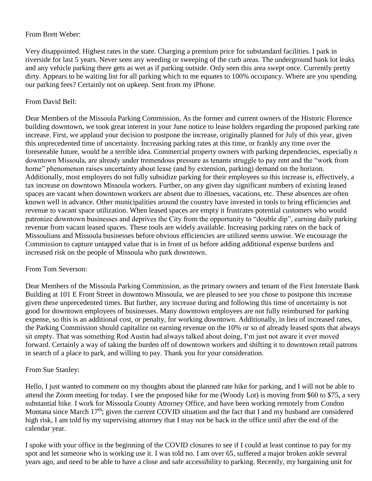## From Brett Weber:

Very disappointed. Highest rates in the state. Charging a premium price for substandard facilities. I park in riverside for last 5 years. Never seen any weeding or sweeping of the curb areas. The underground bank lot leaks and any vehicle parking there gets as wet as if parking outside. Only seen this area swept once. Currently pretty dirty. Appears to be waiting list for all parking which to me equates to 100% occupancy. Where are you spending our parking fees? Certainly not on upkeep. Sent from my iPhone.

## From David Bell:

Dear Members of the Missoula Parking Commission, As the former and current owners of the Historic Florence building downtown, we took great interest in your June notice to lease holders regarding the proposed parking rate increase. First, we applaud your decision to postpone the increase, originally planned for July of this year, given this unprecedented time of uncertainty. Increasing parking rates at this time, or frankly any time over the foreseeable future, would be a terrible idea. Commercial property owners with parking dependencies, especially n downtown Missoula, are already under tremendous pressure as tenants struggle to pay rent and the "work from home" phenomenon raises uncertainty about lease (and by extension, parking) demand on the horizon. Additionally, most employers do not fully subsidize parking for their employees so this increase is, effectively, a tax increase on downtown Missoula workers. Further, on any given day significant numbers of existing leased spaces are vacant when downtown workers are absent due to illnesses, vacations, etc. These absences are often known well in advance. Other municipalities around the country have invested in tools to bring efficiencies and revenue to vacant space utilization. When leased spaces are empty it frustrates potential customers who would patronize downtown businesses and deprives the City from the opportunity to "double dip", earning daily parking revenue from vacant leased spaces. These tools are widely available. Increasing parking rates on the back of Missoulians and Missoula businesses before obvious efficiencies are utilized seems unwise. We encourage the Commission to capture untapped value that is in front of us before adding additional expense burdens and increased risk on the people of Missoula who park downtown.

# From Tom Severson:

Dear Members of the Missoula Parking Commission, as the primary owners and tenant of the First Interstate Bank Building at 101 E Front Street in downtown Missoula, we are pleased to see you chose to postpone this increase given these unprecedented times. But further, any increase during and following this time of uncertainty is not good for downtown employees of businesses. Many downtown employees are not fully reimbursed for parking expense, so this is an additional cost, or penalty, for working downtown. Additionally, in lieu of increased rates, the Parking Commission should capitalize on earning revenue on the 10% or so of already leased spots that always sit empty. That was something Rod Austin had always talked about doing, I'm just not aware it ever moved forward. Certainly a way of taking the burden off of downtown workers and shifting it to downtown retail patrons in search of a place to park, and willing to pay. Thank you for your consideration.

# From Sue Stanley:

Hello, I just wanted to comment on my thoughts about the planned rate hike for parking, and I will not be able to attend the Zoom meeting for today. I see the proposed hike for me (Woody Lot) is moving from \$60 to \$75, a very substantial hike. I work for Missoula County Attorney Office, and have been working remotely from Condon Montana since March 17<sup>th</sup>; given the current COVID situation and the fact that I and my husband are considered high risk, I am told by my supervising attorney that I may not be back in the office until after the end of the calendar year.

I spoke with your office in the beginning of the COVID closures to see if I could at least continue to pay for my spot and let someone who is working use it. I was told no. I am over 65, suffered a major broken ankle several years ago, and need to be able to have a close and safe accessibility to parking. Recently, my bargaining unit for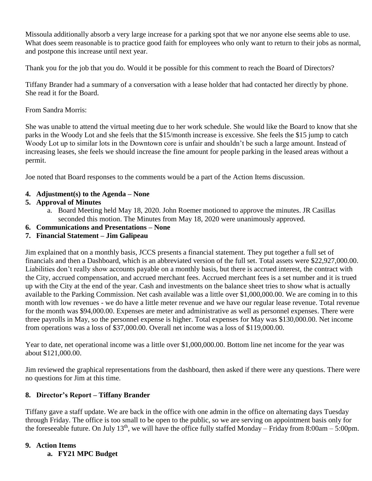Missoula additionally absorb a very large increase for a parking spot that we nor anyone else seems able to use. What does seem reasonable is to practice good faith for employees who only want to return to their jobs as normal, and postpone this increase until next year.

Thank you for the job that you do. Would it be possible for this comment to reach the Board of Directors?

Tiffany Brander had a summary of a conversation with a lease holder that had contacted her directly by phone. She read it for the Board.

From Sandra Morris:

She was unable to attend the virtual meeting due to her work schedule. She would like the Board to know that she parks in the Woody Lot and she feels that the \$15/month increase is excessive. She feels the \$15 jump to catch Woody Lot up to similar lots in the Downtown core is unfair and shouldn't be such a large amount. Instead of increasing leases, she feels we should increase the fine amount for people parking in the leased areas without a permit.

Joe noted that Board responses to the comments would be a part of the Action Items discussion.

# **4. Adjustment(s) to the Agenda – None**

# **5. Approval of Minutes**

- a. Board Meeting held May 18, 2020. John Roemer motioned to approve the minutes. JR Casillas seconded this motion. The Minutes from May 18, 2020 were unanimously approved.
- **6. Communications and Presentations – None**

# **7. Financial Statement – Jim Galipeau**

Jim explained that on a monthly basis, JCCS presents a financial statement. They put together a full set of financials and then a Dashboard, which is an abbreviated version of the full set. Total assets were \$22,927,000.00. Liabilities don't really show accounts payable on a monthly basis, but there is accrued interest, the contract with the City, accrued compensation, and accrued merchant fees. Accrued merchant fees is a set number and it is trued up with the City at the end of the year. Cash and investments on the balance sheet tries to show what is actually available to the Parking Commission. Net cash available was a little over \$1,000,000.00. We are coming in to this month with low revenues - we do have a little meter revenue and we have our regular lease revenue. Total revenue for the month was \$94,000.00. Expenses are meter and administrative as well as personnel expenses. There were three payrolls in May, so the personnel expense is higher. Total expenses for May was \$130,000.00. Net income from operations was a loss of \$37,000.00. Overall net income was a loss of \$119,000.00.

Year to date, net operational income was a little over \$1,000,000.00. Bottom line net income for the year was about \$121,000.00.

Jim reviewed the graphical representations from the dashboard, then asked if there were any questions. There were no questions for Jim at this time.

# **8. Director's Report – Tiffany Brander**

Tiffany gave a staff update. We are back in the office with one admin in the office on alternating days Tuesday through Friday. The office is too small to be open to the public, so we are serving on appointment basis only for the foreseeable future. On July 13<sup>th</sup>, we will have the office fully staffed Monday – Friday from 8:00am – 5:00pm.

# **9. Action Items**

**a. FY21 MPC Budget**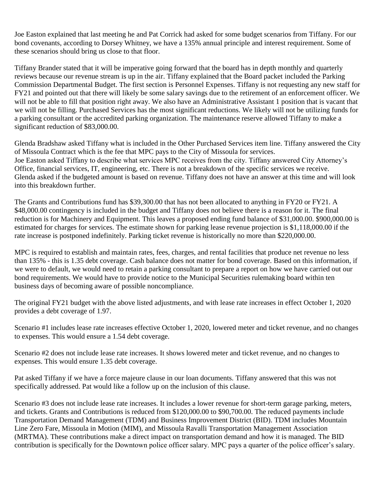Joe Easton explained that last meeting he and Pat Corrick had asked for some budget scenarios from Tiffany. For our bond covenants, according to Dorsey Whitney, we have a 135% annual principle and interest requirement. Some of these scenarios should bring us close to that floor.

Tiffany Brander stated that it will be imperative going forward that the board has in depth monthly and quarterly reviews because our revenue stream is up in the air. Tiffany explained that the Board packet included the Parking Commission Departmental Budget. The first section is Personnel Expenses. Tiffany is not requesting any new staff for FY21 and pointed out that there will likely be some salary savings due to the retirement of an enforcement officer. We will not be able to fill that position right away. We also have an Administrative Assistant 1 position that is vacant that we will not be filling. Purchased Services has the most significant reductions. We likely will not be utilizing funds for a parking consultant or the accredited parking organization. The maintenance reserve allowed Tiffany to make a significant reduction of \$83,000.00.

Glenda Bradshaw asked Tiffany what is included in the Other Purchased Services item line. Tiffany answered the City of Missoula Contract which is the fee that MPC pays to the City of Missoula for services. Joe Easton asked Tiffany to describe what services MPC receives from the city. Tiffany answered City Attorney's Office, financial services, IT, engineering, etc. There is not a breakdown of the specific services we receive. Glenda asked if the budgeted amount is based on revenue. Tiffany does not have an answer at this time and will look into this breakdown further.

The Grants and Contributions fund has \$39,300.00 that has not been allocated to anything in FY20 or FY21. A \$48,000.00 contingency is included in the budget and Tiffany does not believe there is a reason for it. The final reduction is for Machinery and Equipment. This leaves a proposed ending fund balance of \$31,000.00. \$900,000.00 is estimated for charges for services. The estimate shown for parking lease revenue projection is \$1,118,000.00 if the rate increase is postponed indefinitely. Parking ticket revenue is historically no more than \$220,000.00.

MPC is required to establish and maintain rates, fees, charges, and rental facilities that produce net revenue no less than 135% - this is 1.35 debt coverage. Cash balance does not matter for bond coverage. Based on this information, if we were to default, we would need to retain a parking consultant to prepare a report on how we have carried out our bond requirements. We would have to provide notice to the Municipal Securities rulemaking board within ten business days of becoming aware of possible noncompliance.

The original FY21 budget with the above listed adjustments, and with lease rate increases in effect October 1, 2020 provides a debt coverage of 1.97.

Scenario #1 includes lease rate increases effective October 1, 2020, lowered meter and ticket revenue, and no changes to expenses. This would ensure a 1.54 debt coverage.

Scenario #2 does not include lease rate increases. It shows lowered meter and ticket revenue, and no changes to expenses. This would ensure 1.35 debt coverage.

Pat asked Tiffany if we have a force majeure clause in our loan documents. Tiffany answered that this was not specifically addressed. Pat would like a follow up on the inclusion of this clause.

Scenario #3 does not include lease rate increases. It includes a lower revenue for short-term garage parking, meters, and tickets. Grants and Contributions is reduced from \$120,000.00 to \$90,700.00. The reduced payments include Transportation Demand Management (TDM) and Business Improvement District (BID). TDM includes Mountain Line Zero Fare, Missoula in Motion (MIM), and Missoula Ravalli Transportation Management Association (MRTMA). These contributions make a direct impact on transportation demand and how it is managed. The BID contribution is specifically for the Downtown police officer salary. MPC pays a quarter of the police officer's salary.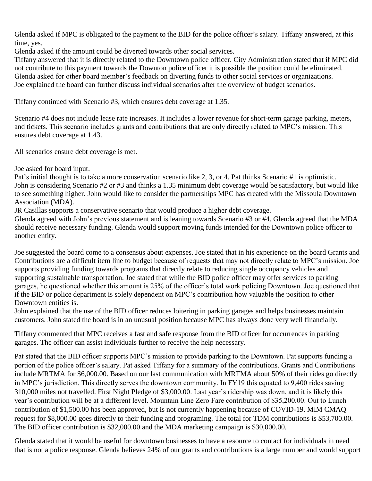Glenda asked if MPC is obligated to the payment to the BID for the police officer's salary. Tiffany answered, at this time, yes.

Glenda asked if the amount could be diverted towards other social services.

Tiffany answered that it is directly related to the Downtown police officer. City Administration stated that if MPC did not contribute to this payment towards the Downton police officer it is possible the position could be eliminated. Glenda asked for other board member's feedback on diverting funds to other social services or organizations. Joe explained the board can further discuss individual scenarios after the overview of budget scenarios.

Tiffany continued with Scenario #3, which ensures debt coverage at 1.35.

Scenario #4 does not include lease rate increases. It includes a lower revenue for short-term garage parking, meters, and tickets. This scenario includes grants and contributions that are only directly related to MPC's mission. This ensures debt coverage at 1.43.

All scenarios ensure debt coverage is met.

Joe asked for board input.

Pat's initial thought is to take a more conservation scenario like 2, 3, or 4. Pat thinks Scenario #1 is optimistic. John is considering Scenario #2 or #3 and thinks a 1.35 minimum debt coverage would be satisfactory, but would like to see something higher. John would like to consider the partnerships MPC has created with the Missoula Downtown Association (MDA).

JR Casillas supports a conservative scenario that would produce a higher debt coverage.

Glenda agreed with John's previous statement and is leaning towards Scenario #3 or #4. Glenda agreed that the MDA should receive necessary funding. Glenda would support moving funds intended for the Downtown police officer to another entity.

Joe suggested the board come to a consensus about expenses. Joe stated that in his experience on the board Grants and Contributions are a difficult item line to budget because of requests that may not directly relate to MPC's mission. Joe supports providing funding towards programs that directly relate to reducing single occupancy vehicles and supporting sustainable transportation. Joe stated that while the BID police officer may offer services to parking garages, he questioned whether this amount is 25% of the officer's total work policing Downtown. Joe questioned that if the BID or police department is solely dependent on MPC's contribution how valuable the position to other Downtown entities is.

John explained that the use of the BID officer reduces loitering in parking garages and helps businesses maintain customers. John stated the board is in an unusual position because MPC has always done very well financially.

Tiffany commented that MPC receives a fast and safe response from the BID officer for occurrences in parking garages. The officer can assist individuals further to receive the help necessary.

Pat stated that the BID officer supports MPC's mission to provide parking to the Downtown. Pat supports funding a portion of the police officer's salary. Pat asked Tiffany for a summary of the contributions. Grants and Contributions include MRTMA for \$6,000.00. Based on our last communication with MRTMA about 50% of their rides go directly in MPC's jurisdiction. This directly serves the downtown community. In FY19 this equated to 9,400 rides saving 310,000 miles not travelled. First Night Pledge of \$3,000.00. Last year's ridership was down, and it is likely this year's contribution will be at a different level. Mountain Line Zero Fare contribution of \$35,200.00. Out to Lunch contribution of \$1,500.00 has been approved, but is not currently happening because of COVID-19. MIM CMAQ request for \$8,000.00 goes directly to their funding and programing. The total for TDM contributions is \$53,700.00. The BID officer contribution is \$32,000.00 and the MDA marketing campaign is \$30,000.00.

Glenda stated that it would be useful for downtown businesses to have a resource to contact for individuals in need that is not a police response. Glenda believes 24% of our grants and contributions is a large number and would support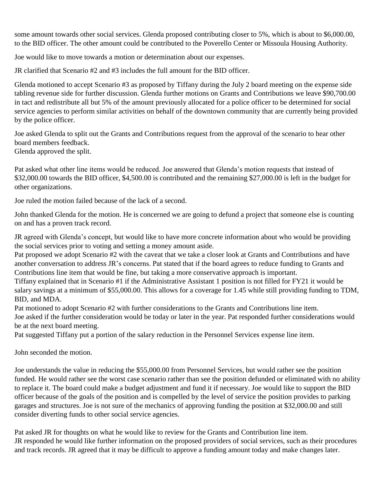some amount towards other social services. Glenda proposed contributing closer to 5%, which is about to \$6,000.00, to the BID officer. The other amount could be contributed to the Poverello Center or Missoula Housing Authority.

Joe would like to move towards a motion or determination about our expenses.

JR clarified that Scenario #2 and #3 includes the full amount for the BID officer.

Glenda motioned to accept Scenario #3 as proposed by Tiffany during the July 2 board meeting on the expense side tabling revenue side for further discussion. Glenda further motions on Grants and Contributions we leave \$90,700.00 in tact and redistribute all but 5% of the amount previously allocated for a police officer to be determined for social service agencies to perform similar activities on behalf of the downtown community that are currently being provided by the police officer.

Joe asked Glenda to split out the Grants and Contributions request from the approval of the scenario to hear other board members feedback.

Glenda approved the split.

Pat asked what other line items would be reduced. Joe answered that Glenda's motion requests that instead of \$32,000.00 towards the BID officer, \$4,500.00 is contributed and the remaining \$27,000.00 is left in the budget for other organizations.

Joe ruled the motion failed because of the lack of a second.

John thanked Glenda for the motion. He is concerned we are going to defund a project that someone else is counting on and has a proven track record.

JR agreed with Glenda's concept, but would like to have more concrete information about who would be providing the social services prior to voting and setting a money amount aside.

Pat proposed we adopt Scenario #2 with the caveat that we take a closer look at Grants and Contributions and have another conversation to address JR's concerns. Pat stated that if the board agrees to reduce funding to Grants and Contributions line item that would be fine, but taking a more conservative approach is important.

Tiffany explained that in Scenario #1 if the Administrative Assistant 1 position is not filled for FY21 it would be salary savings at a minimum of \$55,000.00. This allows for a coverage for 1.45 while still providing funding to TDM, BID, and MDA.

Pat motioned to adopt Scenario #2 with further considerations to the Grants and Contributions line item. Joe asked if the further consideration would be today or later in the year. Pat responded further considerations would be at the next board meeting.

Pat suggested Tiffany put a portion of the salary reduction in the Personnel Services expense line item.

John seconded the motion.

Joe understands the value in reducing the \$55,000.00 from Personnel Services, but would rather see the position funded. He would rather see the worst case scenario rather than see the position defunded or eliminated with no ability to replace it. The board could make a budget adjustment and fund it if necessary. Joe would like to support the BID officer because of the goals of the position and is compelled by the level of service the position provides to parking garages and structures. Joe is not sure of the mechanics of approving funding the position at \$32,000.00 and still consider diverting funds to other social service agencies.

Pat asked JR for thoughts on what he would like to review for the Grants and Contribution line item. JR responded he would like further information on the proposed providers of social services, such as their procedures and track records. JR agreed that it may be difficult to approve a funding amount today and make changes later.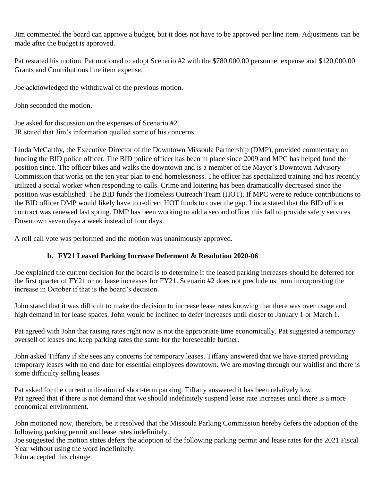Jim commented the board can approve a budget, but it does not have to be approved per line item. Adjustments can be made after the budget is approved.

Pat restated his motion. Pat motioned to adopt Scenario #2 with the \$780,000.00 personnel expense and \$120,000.00 Grants and Contributions line item expense.

Joe acknowledged the withdrawal of the previous motion.

John seconded the motion.

Joe asked for discussion on the expenses of Scenario #2. JR stated that Jim's information quelled some of his concerns.

Linda McCarthy, the Executive Director of the Downtown Missoula Partnership (DMP), provided commentary on funding the BID police officer. The BID police officer has been in place since 2009 and MPC has helped fund the position since. The officer bikes and walks the downtown and is a member of the Mayor's Downtown Advisory Commission that works on the ten year plan to end homelessness. The officer has specialized training and has recently utilized a social worker when responding to calls. Crime and loitering has been dramatically decreased since the position was established. The BID funds the Homeless Outreach Team (HOT). If MPC were to reduce contributions to the BID officer DMP would likely have to redirect HOT funds to cover the gap. Linda stated that the BID officer contract was renewed last spring. DMP has been working to add a second officer this fall to provide safety services Downtown seven days a week instead of four days.

A roll call vote was performed and the motion was unanimously approved.

# **b. FY21 Leased Parking Increase Deferment & Resolution 2020-06**

Joe explained the current decision for the board is to determine if the leased parking increases should be deferred for the first quarter of FY21 or no lease increases for FY21. Scenario #2 does not preclude us from incorporating the increase in October if that is the board's decision.

John stated that it was difficult to make the decision to increase lease rates knowing that there was over usage and high demand in for lease spaces. John would be inclined to defer increases until closer to January 1 or March 1.

Pat agreed with John that raising rates right now is not the appropriate time economically. Pat suggested a temporary oversell of leases and keep parking rates the same for the foreseeable further.

John asked Tiffany if she sees any concerns for temporary leases. Tiffany answered that we have started providing temporary leases with no end date for essential employees downtown. We are moving through our waitlist and there is some difficulty selling leases.

Pat asked for the current utilization of short-term parking. Tiffany answered it has been relatively low. Pat agreed that if there is not demand that we should indefinitely suspend lease rate increases until there is a more economical environment.

John motioned now, therefore, be it resolved that the Missoula Parking Commission hereby defers the adoption of the following parking permit and lease rates indefinitely.

Joe suggested the motion states defers the adoption of the following parking permit and lease rates for the 2021 Fiscal Year without using the word indefinitely.

John accepted this change.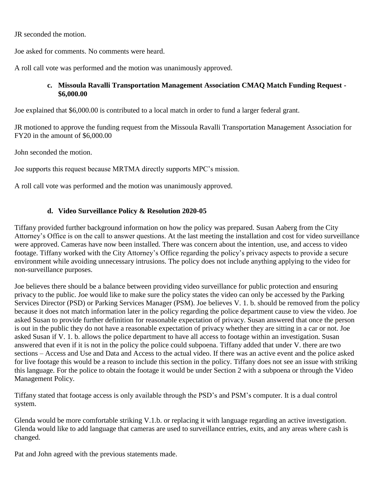JR seconded the motion.

Joe asked for comments. No comments were heard.

A roll call vote was performed and the motion was unanimously approved.

## **c. Missoula Ravalli Transportation Management Association CMAQ Match Funding Request - \$6,000.00**

Joe explained that \$6,000.00 is contributed to a local match in order to fund a larger federal grant.

JR motioned to approve the funding request from the Missoula Ravalli Transportation Management Association for FY20 in the amount of \$6,000.00

John seconded the motion.

Joe supports this request because MRTMA directly supports MPC's mission.

A roll call vote was performed and the motion was unanimously approved.

# **d. Video Surveillance Policy & Resolution 2020-05**

Tiffany provided further background information on how the policy was prepared. Susan Aaberg from the City Attorney's Office is on the call to answer questions. At the last meeting the installation and cost for video surveillance were approved. Cameras have now been installed. There was concern about the intention, use, and access to video footage. Tiffany worked with the City Attorney's Office regarding the policy's privacy aspects to provide a secure environment while avoiding unnecessary intrusions. The policy does not include anything applying to the video for non-surveillance purposes.

Joe believes there should be a balance between providing video surveillance for public protection and ensuring privacy to the public. Joe would like to make sure the policy states the video can only be accessed by the Parking Services Director (PSD) or Parking Services Manager (PSM). Joe believes V. 1. b. should be removed from the policy because it does not match information later in the policy regarding the police department cause to view the video. Joe asked Susan to provide further definition for reasonable expectation of privacy. Susan answered that once the person is out in the public they do not have a reasonable expectation of privacy whether they are sitting in a car or not. Joe asked Susan if V. 1. b. allows the police department to have all access to footage within an investigation. Susan answered that even if it is not in the policy the police could subpoena. Tiffany added that under V. there are two sections – Access and Use and Data and Access to the actual video. If there was an active event and the police asked for live footage this would be a reason to include this section in the policy. Tiffany does not see an issue with striking this language. For the police to obtain the footage it would be under Section 2 with a subpoena or through the Video Management Policy.

Tiffany stated that footage access is only available through the PSD's and PSM's computer. It is a dual control system.

Glenda would be more comfortable striking V.1.b. or replacing it with language regarding an active investigation. Glenda would like to add language that cameras are used to surveillance entries, exits, and any areas where cash is changed.

Pat and John agreed with the previous statements made.